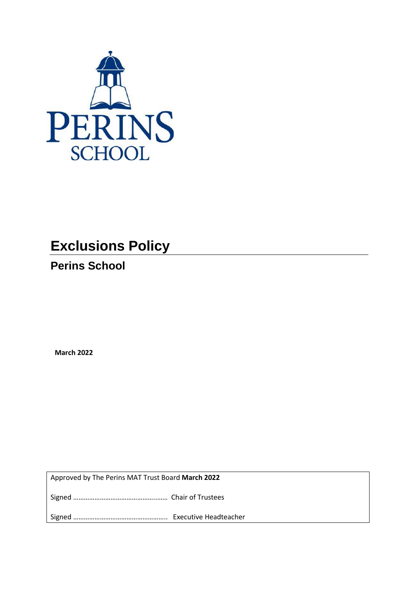

# **Exclusions Policy**

**Perins School**

**March 2022**

Approved by The Perins MAT Trust Board **March 2022**

Signed ………………………………………..…… Chair of Trustees

Signed …………………………………………….. Executive Headteacher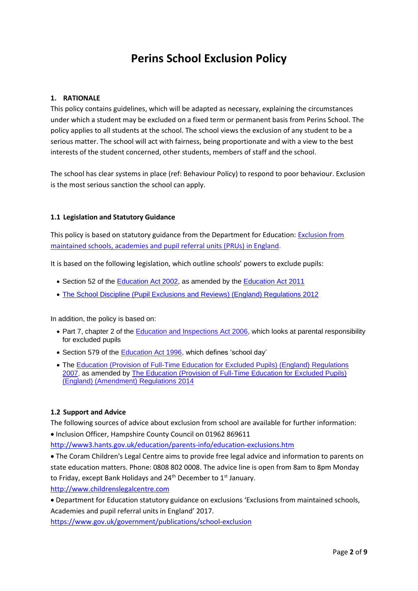# **Perins School Exclusion Policy**

# **1. RATIONALE**

This policy contains guidelines, which will be adapted as necessary, explaining the circumstances under which a student may be excluded on a fixed term or permanent basis from Perins School. The policy applies to all students at the school. The school views the exclusion of any student to be a serious matter. The school will act with fairness, being proportionate and with a view to the best interests of the student concerned, other students, members of staff and the school.

The school has clear systems in place (ref: Behaviour Policy) to respond to poor behaviour. Exclusion is the most serious sanction the school can apply.

#### **1.1 Legislation and Statutory Guidance**

This policy is based on statutory guidance from the Department for Education: [Exclusion from](https://www.gov.uk/government/publications/school-exclusion)  [maintained schools, academies and pupil referral units \(PRUs\) in England.](https://www.gov.uk/government/publications/school-exclusion)

It is based on the following legislation, which outline schools' powers to exclude pupils:

- Section 52 of the [Education Act 2002,](http://www.legislation.gov.uk/ukpga/2002/32/section/52) as amended by the [Education Act 2011](http://www.legislation.gov.uk/ukpga/2011/21/contents/enacted)
- [The School Discipline \(Pupil Exclusions and Reviews\) \(England\) Regulations 2012](http://www.legislation.gov.uk/uksi/2012/1033/made)

In addition, the policy is based on:

- Part 7, chapter 2 of the **Education and Inspections Act 2006**, which looks at parental responsibility for excluded pupils
- Section 579 of the [Education Act 1996,](http://www.legislation.gov.uk/ukpga/1996/56/section/579) which defines 'school day'
- The Education (Provision of Full-Time Education for Excluded Pupils) (England) Regulations [2007,](http://www.legislation.gov.uk/uksi/2007/1870/contents/made) as amended by [The Education \(Provision of Full-Time Education for Excluded Pupils\)](http://www.legislation.gov.uk/uksi/2014/3216/contents/made)  [\(England\) \(Amendment\) Regulations 2014](http://www.legislation.gov.uk/uksi/2014/3216/contents/made)

#### **1.2 Support and Advice**

The following sources of advice about exclusion from school are available for further information:

• Inclusion Officer, Hampshire County Council on 01962 869611

<http://www3.hants.gov.uk/education/parents-info/education-exclusions.htm>

• The Coram Children's Legal Centre aims to provide free legal advice and information to parents on state education matters. Phone: 0808 802 0008. The advice line is open from 8am to 8pm Monday to Friday, except Bank Holidays and  $24<sup>th</sup>$  December to  $1<sup>st</sup>$  January.

[http://www.childrenslegalcentre.com](http://www.childrenslegalcentre.com/)

• Department for Education statutory guidance on exclusions 'Exclusions from maintained schools, Academies and pupil referral units in England' 2017.

<https://www.gov.uk/government/publications/school-exclusion>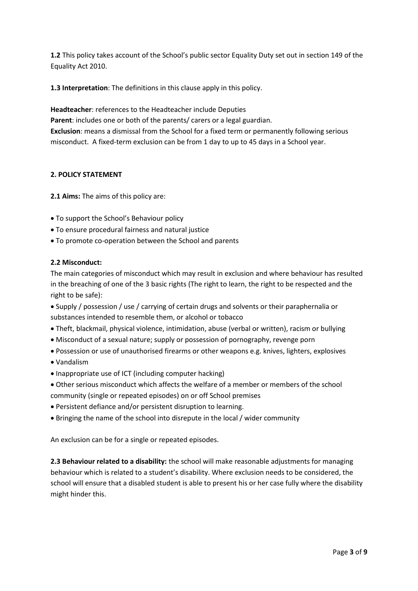**1.2** This policy takes account of the School's public sector Equality Duty set out in section 149 of the Equality Act 2010.

**1.3 Interpretation**: The definitions in this clause apply in this policy.

**Headteacher**: references to the Headteacher include Deputies

**Parent**: includes one or both of the parents/ carers or a legal guardian.

**Exclusion**: means a dismissal from the School for a fixed term or permanently following serious misconduct. A fixed-term exclusion can be from 1 day to up to 45 days in a School year.

# **2. POLICY STATEMENT**

**2.1 Aims:** The aims of this policy are:

- To support the School's Behaviour policy
- To ensure procedural fairness and natural justice
- To promote co-operation between the School and parents

# **2.2 Misconduct:**

The main categories of misconduct which may result in exclusion and where behaviour has resulted in the breaching of one of the 3 basic rights (The right to learn, the right to be respected and the right to be safe):

- Supply / possession / use / carrying of certain drugs and solvents or their paraphernalia or substances intended to resemble them, or alcohol or tobacco
- Theft, blackmail, physical violence, intimidation, abuse (verbal or written), racism or bullying
- Misconduct of a sexual nature; supply or possession of pornography, revenge porn
- Possession or use of unauthorised firearms or other weapons e.g. knives, lighters, explosives
- Vandalism
- Inappropriate use of ICT (including computer hacking)
- Other serious misconduct which affects the welfare of a member or members of the school community (single or repeated episodes) on or off School premises
- Persistent defiance and/or persistent disruption to learning.
- Bringing the name of the school into disrepute in the local / wider community

An exclusion can be for a single or repeated episodes.

**2.3 Behaviour related to a disability:** the school will make reasonable adjustments for managing behaviour which is related to a student's disability. Where exclusion needs to be considered, the school will ensure that a disabled student is able to present his or her case fully where the disability might hinder this.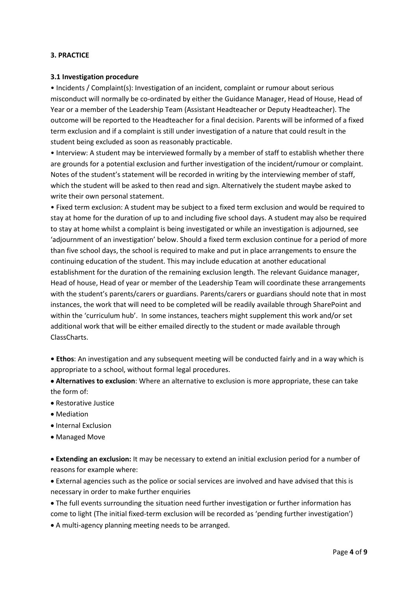#### **3. PRACTICE**

#### **3.1 Investigation procedure**

• Incidents / Complaint(s): Investigation of an incident, complaint or rumour about serious misconduct will normally be co-ordinated by either the Guidance Manager, Head of House, Head of Year or a member of the Leadership Team (Assistant Headteacher or Deputy Headteacher). The outcome will be reported to the Headteacher for a final decision. Parents will be informed of a fixed term exclusion and if a complaint is still under investigation of a nature that could result in the student being excluded as soon as reasonably practicable.

• Interview: A student may be interviewed formally by a member of staff to establish whether there are grounds for a potential exclusion and further investigation of the incident/rumour or complaint. Notes of the student's statement will be recorded in writing by the interviewing member of staff, which the student will be asked to then read and sign. Alternatively the student maybe asked to write their own personal statement.

• Fixed term exclusion: A student may be subject to a fixed term exclusion and would be required to stay at home for the duration of up to and including five school days. A student may also be required to stay at home whilst a complaint is being investigated or while an investigation is adjourned, see 'adjournment of an investigation' below. Should a fixed term exclusion continue for a period of more than five school days, the school is required to make and put in place arrangements to ensure the continuing education of the student. This may include education at another educational establishment for the duration of the remaining exclusion length. The relevant Guidance manager, Head of house, Head of year or member of the Leadership Team will coordinate these arrangements with the student's parents/carers or guardians. Parents/carers or guardians should note that in most instances, the work that will need to be completed will be readily available through SharePoint and within the 'curriculum hub'. In some instances, teachers might supplement this work and/or set additional work that will be either emailed directly to the student or made available through ClassCharts.

**• Ethos**: An investigation and any subsequent meeting will be conducted fairly and in a way which is appropriate to a school, without formal legal procedures.

• **Alternatives to exclusion**: Where an alternative to exclusion is more appropriate, these can take the form of:

- Restorative Justice
- Mediation
- Internal Exclusion
- Managed Move

• **Extending an exclusion:** It may be necessary to extend an initial exclusion period for a number of reasons for example where:

• External agencies such as the police or social services are involved and have advised that this is necessary in order to make further enquiries

• The full events surrounding the situation need further investigation or further information has come to light (The initial fixed-term exclusion will be recorded as 'pending further investigation')

• A multi-agency planning meeting needs to be arranged.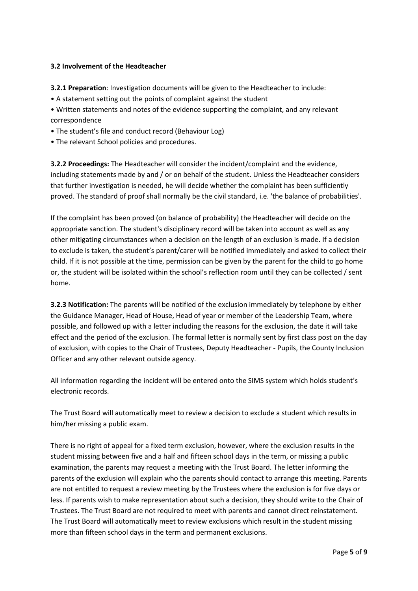## **3.2 Involvement of the Headteacher**

**3.2.1 Preparation**: Investigation documents will be given to the Headteacher to include:

• A statement setting out the points of complaint against the student

• Written statements and notes of the evidence supporting the complaint, and any relevant correspondence

- The student's file and conduct record (Behaviour Log)
- The relevant School policies and procedures.

**3.2.2 Proceedings:** The Headteacher will consider the incident/complaint and the evidence, including statements made by and / or on behalf of the student. Unless the Headteacher considers that further investigation is needed, he will decide whether the complaint has been sufficiently proved. The standard of proof shall normally be the civil standard, i.e. 'the balance of probabilities'.

If the complaint has been proved (on balance of probability) the Headteacher will decide on the appropriate sanction. The student's disciplinary record will be taken into account as well as any other mitigating circumstances when a decision on the length of an exclusion is made. If a decision to exclude is taken, the student's parent/carer will be notified immediately and asked to collect their child. If it is not possible at the time, permission can be given by the parent for the child to go home or, the student will be isolated within the school's reflection room until they can be collected / sent home.

**3.2.3 Notification:** The parents will be notified of the exclusion immediately by telephone by either the Guidance Manager, Head of House, Head of year or member of the Leadership Team, where possible, and followed up with a letter including the reasons for the exclusion, the date it will take effect and the period of the exclusion. The formal letter is normally sent by first class post on the day of exclusion, with copies to the Chair of Trustees, Deputy Headteacher - Pupils, the County Inclusion Officer and any other relevant outside agency.

All information regarding the incident will be entered onto the SIMS system which holds student's electronic records.

The Trust Board will automatically meet to review a decision to exclude a student which results in him/her missing a public exam.

There is no right of appeal for a fixed term exclusion, however, where the exclusion results in the student missing between five and a half and fifteen school days in the term, or missing a public examination, the parents may request a meeting with the Trust Board. The letter informing the parents of the exclusion will explain who the parents should contact to arrange this meeting. Parents are not entitled to request a review meeting by the Trustees where the exclusion is for five days or less. If parents wish to make representation about such a decision, they should write to the Chair of Trustees. The Trust Board are not required to meet with parents and cannot direct reinstatement. The Trust Board will automatically meet to review exclusions which result in the student missing more than fifteen school days in the term and permanent exclusions.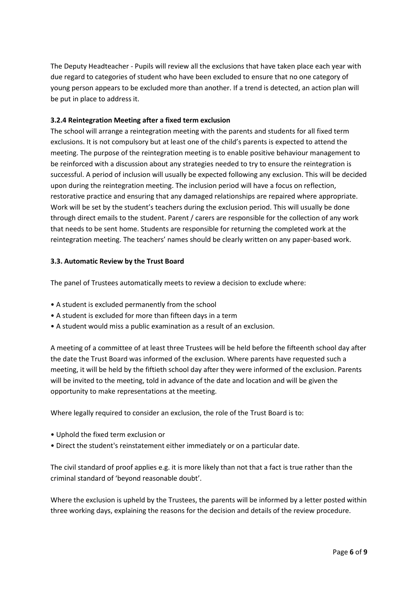The Deputy Headteacher - Pupils will review all the exclusions that have taken place each year with due regard to categories of student who have been excluded to ensure that no one category of young person appears to be excluded more than another. If a trend is detected, an action plan will be put in place to address it.

### **3.2.4 Reintegration Meeting after a fixed term exclusion**

The school will arrange a reintegration meeting with the parents and students for all fixed term exclusions. It is not compulsory but at least one of the child's parents is expected to attend the meeting. The purpose of the reintegration meeting is to enable positive behaviour management to be reinforced with a discussion about any strategies needed to try to ensure the reintegration is successful. A period of inclusion will usually be expected following any exclusion. This will be decided upon during the reintegration meeting. The inclusion period will have a focus on reflection, restorative practice and ensuring that any damaged relationships are repaired where appropriate. Work will be set by the student's teachers during the exclusion period. This will usually be done through direct emails to the student. Parent / carers are responsible for the collection of any work that needs to be sent home. Students are responsible for returning the completed work at the reintegration meeting. The teachers' names should be clearly written on any paper-based work.

#### **3.3. Automatic Review by the Trust Board**

The panel of Trustees automatically meets to review a decision to exclude where:

- A student is excluded permanently from the school
- A student is excluded for more than fifteen days in a term
- A student would miss a public examination as a result of an exclusion.

A meeting of a committee of at least three Trustees will be held before the fifteenth school day after the date the Trust Board was informed of the exclusion. Where parents have requested such a meeting, it will be held by the fiftieth school day after they were informed of the exclusion. Parents will be invited to the meeting, told in advance of the date and location and will be given the opportunity to make representations at the meeting.

Where legally required to consider an exclusion, the role of the Trust Board is to:

- Uphold the fixed term exclusion or
- Direct the student's reinstatement either immediately or on a particular date.

The civil standard of proof applies e.g. it is more likely than not that a fact is true rather than the criminal standard of 'beyond reasonable doubt'.

Where the exclusion is upheld by the Trustees, the parents will be informed by a letter posted within three working days, explaining the reasons for the decision and details of the review procedure.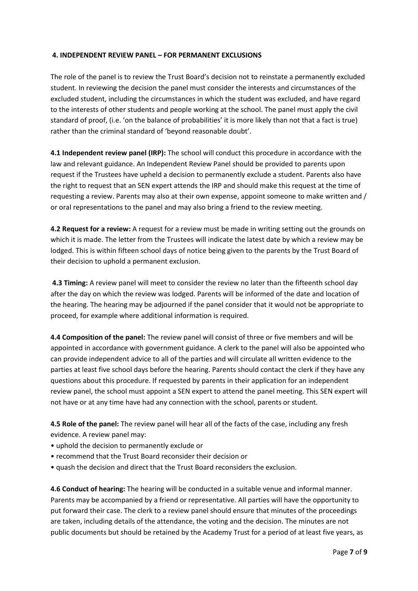#### **4. INDEPENDENT REVIEW PANEL – FOR PERMANENT EXCLUSIONS**

The role of the panel is to review the Trust Board's decision not to reinstate a permanently excluded student. In reviewing the decision the panel must consider the interests and circumstances of the excluded student, including the circumstances in which the student was excluded, and have regard to the interests of other students and people working at the school. The panel must apply the civil standard of proof, (i.e. 'on the balance of probabilities' it is more likely than not that a fact is true) rather than the criminal standard of 'beyond reasonable doubt'.

**4.1 Independent review panel (IRP):** The school will conduct this procedure in accordance with the law and relevant guidance. An Independent Review Panel should be provided to parents upon request if the Trustees have upheld a decision to permanently exclude a student. Parents also have the right to request that an SEN expert attends the IRP and should make this request at the time of requesting a review. Parents may also at their own expense, appoint someone to make written and / or oral representations to the panel and may also bring a friend to the review meeting.

**4.2 Request for a review:** A request for a review must be made in writing setting out the grounds on which it is made. The letter from the Trustees will indicate the latest date by which a review may be lodged. This is within fifteen school days of notice being given to the parents by the Trust Board of their decision to uphold a permanent exclusion.

**4.3 Timing:** A review panel will meet to consider the review no later than the fifteenth school day after the day on which the review was lodged. Parents will be informed of the date and location of the hearing. The hearing may be adjourned if the panel consider that it would not be appropriate to proceed, for example where additional information is required.

**4.4 Composition of the panel:** The review panel will consist of three or five members and will be appointed in accordance with government guidance. A clerk to the panel will also be appointed who can provide independent advice to all of the parties and will circulate all written evidence to the parties at least five school days before the hearing. Parents should contact the clerk if they have any questions about this procedure. If requested by parents in their application for an independent review panel, the school must appoint a SEN expert to attend the panel meeting. This SEN expert will not have or at any time have had any connection with the school, parents or student.

**4.5 Role of the panel:** The review panel will hear all of the facts of the case, including any fresh evidence. A review panel may:

- uphold the decision to permanently exclude or
- recommend that the Trust Board reconsider their decision or
- quash the decision and direct that the Trust Board reconsiders the exclusion.

**4.6 Conduct of hearing:** The hearing will be conducted in a suitable venue and informal manner. Parents may be accompanied by a friend or representative. All parties will have the opportunity to put forward their case. The clerk to a review panel should ensure that minutes of the proceedings are taken, including details of the attendance, the voting and the decision. The minutes are not public documents but should be retained by the Academy Trust for a period of at least five years, as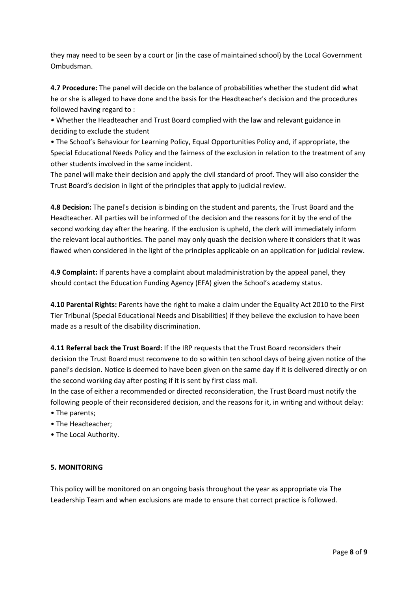they may need to be seen by a court or (in the case of maintained school) by the Local Government Ombudsman.

**4.7 Procedure:** The panel will decide on the balance of probabilities whether the student did what he or she is alleged to have done and the basis for the Headteacher's decision and the procedures followed having regard to :

• Whether the Headteacher and Trust Board complied with the law and relevant guidance in deciding to exclude the student

• The School's Behaviour for Learning Policy, Equal Opportunities Policy and, if appropriate, the Special Educational Needs Policy and the fairness of the exclusion in relation to the treatment of any other students involved in the same incident.

The panel will make their decision and apply the civil standard of proof. They will also consider the Trust Board's decision in light of the principles that apply to judicial review.

**4.8 Decision:** The panel's decision is binding on the student and parents, the Trust Board and the Headteacher. All parties will be informed of the decision and the reasons for it by the end of the second working day after the hearing. If the exclusion is upheld, the clerk will immediately inform the relevant local authorities. The panel may only quash the decision where it considers that it was flawed when considered in the light of the principles applicable on an application for judicial review.

**4.9 Complaint:** If parents have a complaint about maladministration by the appeal panel, they should contact the Education Funding Agency (EFA) given the School's academy status.

**4.10 Parental Rights:** Parents have the right to make a claim under the Equality Act 2010 to the First Tier Tribunal (Special Educational Needs and Disabilities) if they believe the exclusion to have been made as a result of the disability discrimination.

**4.11 Referral back the Trust Board:** If the IRP requests that the Trust Board reconsiders their decision the Trust Board must reconvene to do so within ten school days of being given notice of the panel's decision. Notice is deemed to have been given on the same day if it is delivered directly or on the second working day after posting if it is sent by first class mail.

In the case of either a recommended or directed reconsideration, the Trust Board must notify the following people of their reconsidered decision, and the reasons for it, in writing and without delay:

- The parents;
- The Headteacher;
- The Local Authority.

#### **5. MONITORING**

This policy will be monitored on an ongoing basis throughout the year as appropriate via The Leadership Team and when exclusions are made to ensure that correct practice is followed.